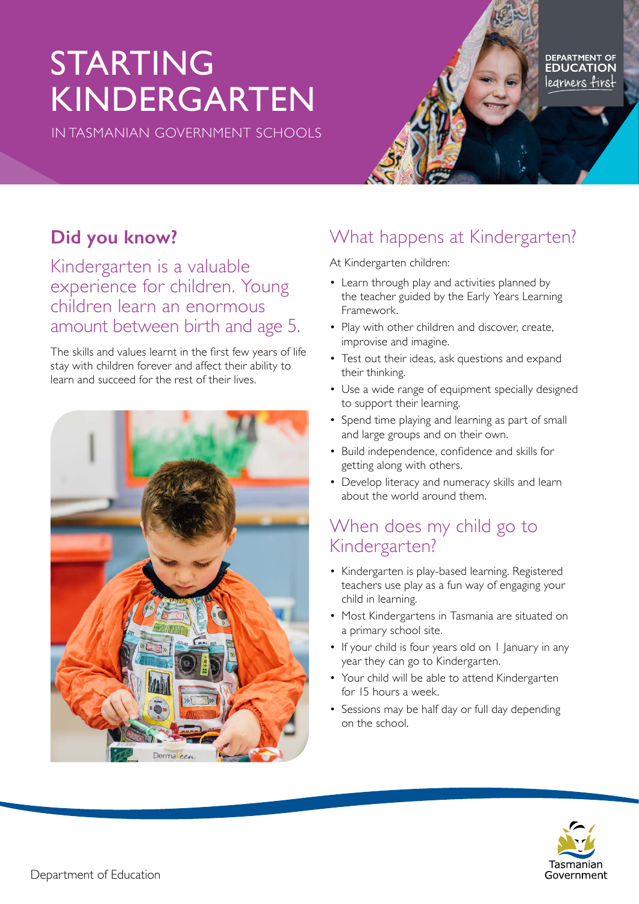# STARTING KINDERGARTEN

IN TASMANIAN GOVERNMENT SCHOOLS

# **Did you know?**

Kindergarten is a valuable experience for children. Young children learn an enormous amount between birth and age 5.

The skills and values learnt in the first few years of life stay with children forever and affect their ability to learn and succeed for the rest of their lives.



## What happens at Kindergarten?

At Kindergarten children:

- Learn through play and activities planned by the teacher guided by the Early Years Learning Framework.
- Play with other children and discover, create, improvise and imagine.
- Test out their ideas, ask questions and expand their thinking.
- Use a wide range of equipment specially designed to support their learning.
- Spend time playing and learning as part of small and large groups and on their own.
- Build independence, confidence and skills for getting along with others.
- Develop literacy and numeracy skills and learn about the world around them.

### When does my child go to Kindergarten?

- Kindergarten is play-based learning. Registered teachers use play as a fun way of engaging your child in learning.
- Most Kindergartens in Tasmania are situated on a primary school site.
- If your child is four years old on I January in any year they can go to Kindergarten.
- Your child will be able to attend Kindergarten for 15 hours a week.
- Sessions may be half day or full day depending on the school.



legrners first

DEPARTMENT OF<br>**EDUCATION**